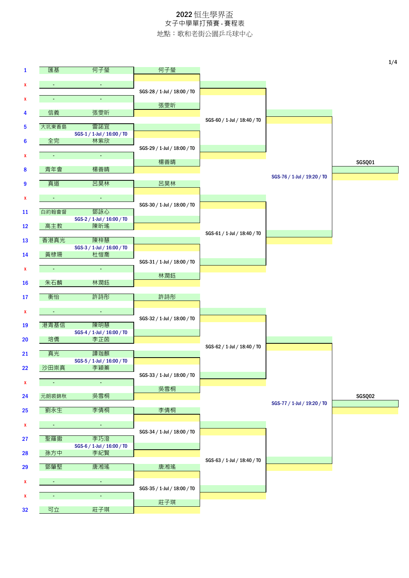|              |                     |                                   |                             |                             |                             | 1/4    |
|--------------|---------------------|-----------------------------------|-----------------------------|-----------------------------|-----------------------------|--------|
| $\mathbf{1}$ | 匯基                  | 何子瑩                               | 何子瑩                         |                             |                             |        |
| x            | $\blacksquare$      | $\omega$                          |                             |                             |                             |        |
| x            |                     | ä,                                | SGS-28 / 1-Jul / 18:00 / T0 |                             |                             |        |
|              |                     |                                   | 張雯昕                         |                             |                             |        |
| 4            | 信義                  | 張雯昕                               |                             | SGS-60 / 1-Jul / 18:40 / T0 |                             |        |
| 5            | 大坑東香島               | 雷諾宜                               |                             |                             |                             |        |
| 6            | 全完                  | SGS-1 / 1-Jul / 16:00 / TO<br>林紫欣 |                             |                             |                             |        |
|              |                     |                                   | SGS-29 / 1-Jul / 18:00 / T0 |                             |                             |        |
| x            | $\omega_{\rm{eff}}$ | $\omega_{\rm{eff}}$               | 楊善晴                         |                             |                             | SGSQ01 |
| 8            | 青年會                 | 楊善晴                               |                             |                             |                             |        |
| 9            | 真道                  | 呂昊林                               | 呂昊林                         |                             | SGS-76 / 1-Jul / 19:20 / T0 |        |
|              |                     |                                   |                             |                             |                             |        |
| x            | $\sim$              | $\mathcal{L}_{\mathcal{A}}$       |                             |                             |                             |        |
| <b>11</b>    | 白約翰會督               | 鄧詠心                               | SGS-30 / 1-Jul / 18:00 / T0 |                             |                             |        |
|              |                     | SGS-2 / 1-Jul / 16:00 / T0<br>陳昕瑤 |                             |                             |                             |        |
| 12           | 高主教                 |                                   |                             | SGS-61 / 1-Jul / 18:40 / T0 |                             |        |
| 13           | 香港真光                | 陳梓慧                               |                             |                             |                             |        |
| 14           | 黃棣珊                 | SGS-3 / 1-Jul / 16:00 / TO<br>杜愷喬 |                             |                             |                             |        |
|              |                     |                                   | SGS-31 / 1-Jul / 18:00 / T0 |                             |                             |        |
| $\mathbf{x}$ | $\blacksquare$      | $\omega$                          | 林潤鈺                         |                             |                             |        |
| <b>16</b>    | 朱石麟                 | 林潤鈺                               |                             |                             |                             |        |
| 17           | 衡怡                  | 許詩彤                               | 許詩彤                         |                             |                             |        |
|              |                     |                                   |                             |                             |                             |        |
| x            | $\pm$               | $\omega$                          | SGS-32 / 1-Jul / 18:00 / T0 |                             |                             |        |
| 19           | 港青基信                | 陳明慧                               |                             |                             |                             |        |
| 20           | 培僑                  | SGS-4 / 1-Jul / 16:00 / TO<br>李芷茵 |                             |                             |                             |        |
|              |                     |                                   |                             | SGS-62 / 1-Jul / 18:40 / T0 |                             |        |
| 21           | 真光                  | 譚珈麒<br>SGS-5 / 1-Jul / 16:00 / T0 |                             |                             |                             |        |
| 22           | 沙田崇真                | 李穎秦                               |                             |                             |                             |        |
| X            | $\omega_{\rm c}$    | $\omega_{\rm c}$                  | SGS-33 / 1-Jul / 18:00 / T0 |                             |                             |        |
|              |                     |                                   | 吳雪桐                         |                             |                             |        |
| 24           | 元朗裘錦秋               | 吳雪桐                               |                             |                             | SGS-77 / 1-Jul / 19:20 / T0 | SGSQ02 |
| 25           | 劉永生                 | 李倩桐                               | 李倩桐                         |                             |                             |        |
| X            | $\sim$              | $\bullet$ .                       |                             |                             |                             |        |
|              |                     |                                   | SGS-34 / 1-Jul / 18:00 / T0 |                             |                             |        |
| 27           | 聖羅撒                 | 李巧澄<br>SGS-6 / 1-Jul / 16:00 / T0 |                             |                             |                             |        |
| 28           | 孫方中                 | 李紀賢                               |                             |                             |                             |        |
| 29           | 鄧肇堅                 | 唐湘瑤                               | 唐湘瑤                         | SGS-63 / 1-Jul / 18:40 / T0 |                             |        |
|              |                     |                                   |                             |                             |                             |        |
| x            | $\blacksquare$      | $\blacksquare$                    | SGS-35 / 1-Jul / 18:00 / T0 |                             |                             |        |
| X            | ٠                   | $\blacksquare$                    |                             |                             |                             |        |
| 32           | 可立                  | 莊子琪                               | 莊子琪                         |                             |                             |        |
|              |                     |                                   |                             |                             |                             |        |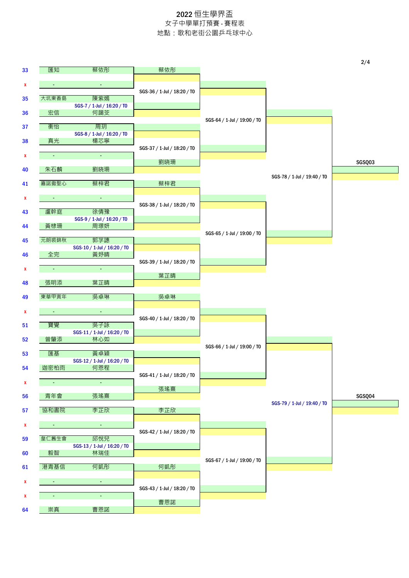|    |                          |                                    |                             |                             |                             | 2/4    |
|----|--------------------------|------------------------------------|-----------------------------|-----------------------------|-----------------------------|--------|
| 33 | 匯知                       | 蔡依彤                                | 蔡依彤                         |                             |                             |        |
| x  | $\blacksquare$           | $\blacksquare$                     |                             |                             |                             |        |
|    |                          |                                    | SGS-36 / 1-Jul / 18:20 / T0 |                             |                             |        |
| 35 | 大坑東香島                    | 陳紫嫣                                |                             |                             |                             |        |
| 36 | 宏信                       | SGS-7 / 1-Jul / 16:20 / TO<br>何藹芠  |                             |                             |                             |        |
|    |                          |                                    |                             | SGS-64 / 1-Jul / 19:00 / T0 |                             |        |
| 37 | 衡怡                       | 周玥                                 |                             |                             |                             |        |
|    |                          | SGS-8 / 1-Jul / 16:20 / TO<br>楊芯寧  |                             |                             |                             |        |
| 38 | 真光                       |                                    | SGS-37 / 1-Jul / 18:20 / T0 |                             |                             |        |
| x  | $\bullet$                | $\omega_{\rm{eff}}$                |                             |                             |                             |        |
|    |                          |                                    | 劉晓珊                         |                             |                             | SGSQ03 |
| 40 | 朱石麟                      | 劉晓珊                                |                             |                             | SGS-78 / 1-Jul / 19:40 / T0 |        |
| 41 | 嘉諾撒聖心                    | 蔡梓君                                | 蔡梓君                         |                             |                             |        |
|    |                          |                                    |                             |                             |                             |        |
| x  | $\bullet$                | $\blacksquare$                     |                             |                             |                             |        |
| 43 | 盧幹庭                      | 徐倩豫                                | SGS-38 / 1-Jul / 18:20 / T0 |                             |                             |        |
|    |                          | SGS-9 / 1-Jul / 16:20 / TO         |                             |                             |                             |        |
| 44 | 黃棣珊                      | 周璟妍                                |                             |                             |                             |        |
| 45 | 元朗裘錦秋                    | 郭芓譓                                |                             | SGS-65 / 1-Jul / 19:00 / T0 |                             |        |
|    |                          | SGS-10 / 1-Jul / 16:20 / TO        |                             |                             |                             |        |
| 46 | 全完                       | 黃妤晴                                |                             |                             |                             |        |
|    | $\blacksquare$           | $\omega$                           | SGS-39 / 1-Jul / 18:20 / T0 |                             |                             |        |
| x  |                          |                                    | 葉芷晴                         |                             |                             |        |
| 48 | 張明添                      | 葉芷晴                                |                             |                             |                             |        |
|    | 東華甲寅年                    | 吳卓琳                                | 吳卓琳                         |                             |                             |        |
| 49 |                          |                                    |                             |                             |                             |        |
| x  | $\sim$                   | $\bullet$ .                        |                             |                             |                             |        |
|    |                          | 吳子詠                                | SGS-40 / 1-Jul / 18:20 / T0 |                             |                             |        |
| 51 | 寶覺                       | SGS-11 / 1-Jul / 16:20 / TO        |                             |                             |                             |        |
| 52 | 曾肇添                      | 林心如                                |                             |                             |                             |        |
|    |                          |                                    |                             | SGS-66 / 1-Jul / 19:00 / T0 |                             |        |
| 53 | 匯基                       | 黃卓穎<br>SGS-12 / 1-Jul / 16:20 / T0 |                             |                             |                             |        |
| 54 | 迦密柏雨                     | 何恩程                                |                             |                             |                             |        |
|    |                          |                                    | SGS-41 / 1-Jul / 18:20 / T0 |                             |                             |        |
| x  | $\omega_{\rm c}$         | $\omega_{\rm{eff}}$                | 張瑤熹                         |                             |                             |        |
| 56 | 青年會                      | 張瑤熹                                |                             |                             |                             | SGSQ04 |
|    |                          |                                    |                             |                             | SGS-79 / 1-Jul / 19:40 / TO |        |
| 57 | 協和書院                     | 李芷欣                                | 李芷欣                         |                             |                             |        |
| x  | $\sim$                   | $\sim$                             |                             |                             |                             |        |
|    |                          |                                    | SGS-42 / 1-Jul / 18:20 / T0 |                             |                             |        |
| 59 | 皇仁舊生會                    | 邱悅兒                                |                             |                             |                             |        |
| 60 | 毅智                       | SGS-13 / 1-Jul / 16:20 / TO<br>林瑞佳 |                             |                             |                             |        |
|    |                          |                                    |                             | SGS-67 / 1-Jul / 19:00 / T0 |                             |        |
| 61 | 港青基信                     | 何凱彤                                | 何凱彤                         |                             |                             |        |
| X  | $\blacksquare$           | $\omega$                           |                             |                             |                             |        |
|    |                          |                                    | SGS-43 / 1-Jul / 18:20 / T0 |                             |                             |        |
| X  | $\overline{\phantom{a}}$ | ÷.                                 |                             |                             |                             |        |
| 64 | 崇真                       | 曹恩諾                                | 曹恩諾                         |                             |                             |        |
|    |                          |                                    |                             |                             |                             |        |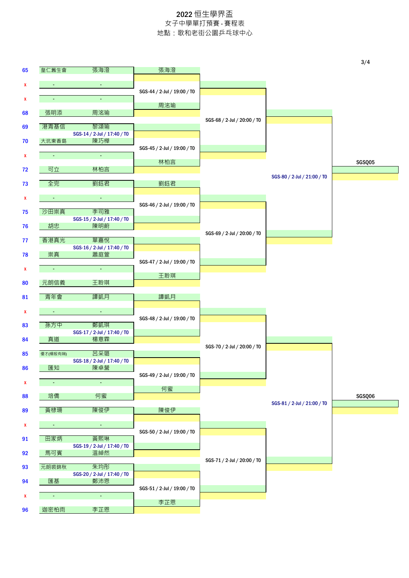|    |                |                                    |                             |                             |                             | 3/4    |
|----|----------------|------------------------------------|-----------------------------|-----------------------------|-----------------------------|--------|
| 65 | 皇仁舊生會          | 張海澄                                | 張海澄                         |                             |                             |        |
| x  | $\sim$         | $\blacksquare$                     |                             |                             |                             |        |
|    |                | ä,                                 | SGS-44 / 2-Jul / 19:00 / T0 |                             |                             |        |
| x  |                |                                    | 周洺瑜                         |                             |                             |        |
| 68 | 張明添            | 周洺瑜                                |                             | SGS-68 / 2-Jul / 20:00 / T0 |                             |        |
| 69 | 港青基信           | 黎頌瑜                                |                             |                             |                             |        |
| 70 | 大坑東香島          | SGS-14 / 2-Jul / 17:40 / TO<br>陳巧樺 |                             |                             |                             |        |
|    |                |                                    | SGS-45 / 2-Jul / 19:00 / T0 |                             |                             |        |
| x  | $\sim$         | $\omega_{\rm c}$                   | 林柏言                         |                             |                             |        |
| 72 | 可立             | 林柏言                                |                             |                             |                             | SGSQ05 |
|    | 全完             | 劉鈺君                                | 劉鈺君                         |                             | SGS-80 / 2-Jul / 21:00 / T0 |        |
| 73 |                |                                    |                             |                             |                             |        |
| x  | $\sim$         | $\sim$                             |                             |                             |                             |        |
| 75 | 沙田崇真           | 李司雅                                | SGS-46 / 2-Jul / 19:00 / T0 |                             |                             |        |
|    |                | SGS-15 / 2-Jul / 17:40 / T0        |                             |                             |                             |        |
| 76 | 胡忠             | 陳明蔚                                |                             | SGS-69 / 2-Jul / 20:00 / T0 |                             |        |
| 77 | 香港真光           | 單嘉悅                                |                             |                             |                             |        |
| 78 | 崇真             | SGS-16 / 2-Jul / 17:40 / T0<br>蕭庭萱 |                             |                             |                             |        |
|    |                |                                    | SGS-47 / 2-Jul / 19:00 / T0 |                             |                             |        |
| X  | $\blacksquare$ | $\omega$                           | 王聆琪                         |                             |                             |        |
| 80 | 元朗信義           | 王聆琪                                |                             |                             |                             |        |
| 81 | 青年會            | 譚凱月                                | 譚凱月                         |                             |                             |        |
|    |                |                                    |                             |                             |                             |        |
| X  | $\bullet$      | $\blacksquare$                     | SGS-48 / 2-Jul / 19:00 / T0 |                             |                             |        |
| 83 | 孫方中            | 鄭凱琪                                |                             |                             |                             |        |
| 84 | 真道             | SGS-17 / 2-Jul / 17:40 / TO<br>楊意霖 |                             |                             |                             |        |
|    |                | 呂采璐                                |                             | SGS-70 / 2-Jul / 20:00 / T0 |                             |        |
| 85 | 優才(楊殷有娣)       | SGS-18 / 2-Jul / 17:40 / T0        |                             |                             |                             |        |
| 86 | 匯知             | 陳卓營                                |                             |                             |                             |        |
| X  | $\blacksquare$ | ¥.                                 | SGS-49 / 2-Jul / 19:00 / T0 |                             |                             |        |
|    |                |                                    | 何蜜                          |                             |                             |        |
| 88 | 培僑             | 何蜜                                 |                             |                             | SGS-81 / 2-Jul / 21:00 / T0 | SGSQ06 |
| 89 | 黃棣珊            | 陳俊伊                                | 陳俊伊                         |                             |                             |        |
| x  | $\bullet$      | $\sim$                             |                             |                             |                             |        |
|    | 田家炳            | 黃熙琳                                | SGS-50 / 2-Jul / 19:00 / T0 |                             |                             |        |
| 91 |                | SGS-19 / 2-Jul / 17:40 / T0        |                             |                             |                             |        |
| 92 | 馬可賓            | 溫綽然                                |                             |                             |                             |        |
| 93 | 元朗裘錦秋          | 朱均彤                                |                             | SGS-71 / 2-Jul / 20:00 / T0 |                             |        |
|    | 匯基             | SGS-20 / 2-Jul / 17:40 / T0<br>鄭沛恩 |                             |                             |                             |        |
| 94 |                |                                    | SGS-51 / 2-Jul / 19:00 / T0 |                             |                             |        |
| X  | $\blacksquare$ | $\blacksquare$                     | 李芷恩                         |                             |                             |        |
| 96 | 迦密柏雨           | 李芷恩                                |                             |                             |                             |        |
|    |                |                                    |                             |                             |                             |        |